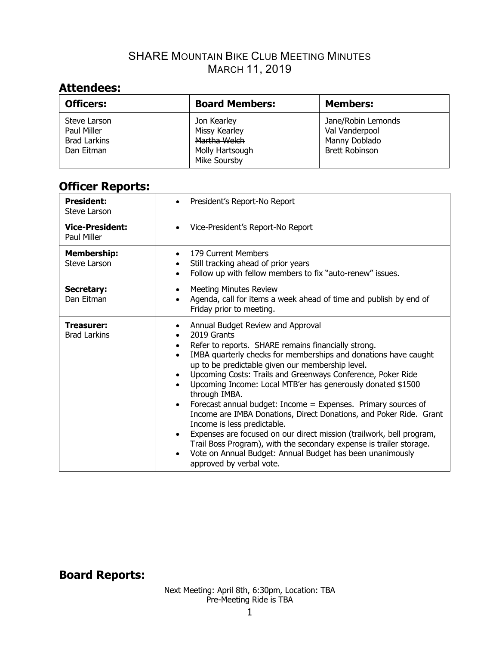## **Attendees:**

| <b>Officers:</b>                                                 | <b>Board Members:</b>                                                                  | <b>Members:</b>                                                                |
|------------------------------------------------------------------|----------------------------------------------------------------------------------------|--------------------------------------------------------------------------------|
| Steve Larson<br>Paul Miller<br><b>Brad Larkins</b><br>Dan Eitman | Jon Kearley<br><b>Missy Kearley</b><br>Martha Welch<br>Molly Hartsough<br>Mike Soursby | Jane/Robin Lemonds<br>Val Vanderpool<br>Manny Doblado<br><b>Brett Robinson</b> |

# **Officer Reports:**

| <b>President:</b><br>Steve Larson     | President's Report-No Report<br>$\bullet$                                                                                                                                                                                                                                                                                                                                                                                                                                                                                                                                                                                                                                                                                                                                                                                                                         |
|---------------------------------------|-------------------------------------------------------------------------------------------------------------------------------------------------------------------------------------------------------------------------------------------------------------------------------------------------------------------------------------------------------------------------------------------------------------------------------------------------------------------------------------------------------------------------------------------------------------------------------------------------------------------------------------------------------------------------------------------------------------------------------------------------------------------------------------------------------------------------------------------------------------------|
| <b>Vice-President:</b><br>Paul Miller | Vice-President's Report-No Report<br>$\bullet$                                                                                                                                                                                                                                                                                                                                                                                                                                                                                                                                                                                                                                                                                                                                                                                                                    |
| <b>Membership:</b><br>Steve Larson    | 179 Current Members<br>$\bullet$<br>Still tracking ahead of prior years<br>Follow up with fellow members to fix "auto-renew" issues.<br>$\bullet$                                                                                                                                                                                                                                                                                                                                                                                                                                                                                                                                                                                                                                                                                                                 |
| Secretary:<br>Dan Eitman              | <b>Meeting Minutes Review</b><br>Agenda, call for items a week ahead of time and publish by end of<br>Friday prior to meeting.                                                                                                                                                                                                                                                                                                                                                                                                                                                                                                                                                                                                                                                                                                                                    |
| Treasurer:<br><b>Brad Larkins</b>     | Annual Budget Review and Approval<br>2019 Grants<br>Refer to reports. SHARE remains financially strong.<br>٠<br>IMBA quarterly checks for memberships and donations have caught<br>$\bullet$<br>up to be predictable given our membership level.<br>Upcoming Costs: Trails and Greenways Conference, Poker Ride<br>$\bullet$<br>Upcoming Income: Local MTB'er has generously donated \$1500<br>through IMBA.<br>Forecast annual budget: Income = Expenses. Primary sources of<br>$\bullet$<br>Income are IMBA Donations, Direct Donations, and Poker Ride. Grant<br>Income is less predictable.<br>Expenses are focused on our direct mission (trailwork, bell program,<br>$\bullet$<br>Trail Boss Program), with the secondary expense is trailer storage.<br>Vote on Annual Budget: Annual Budget has been unanimously<br>$\bullet$<br>approved by verbal vote. |

## **Board Reports:**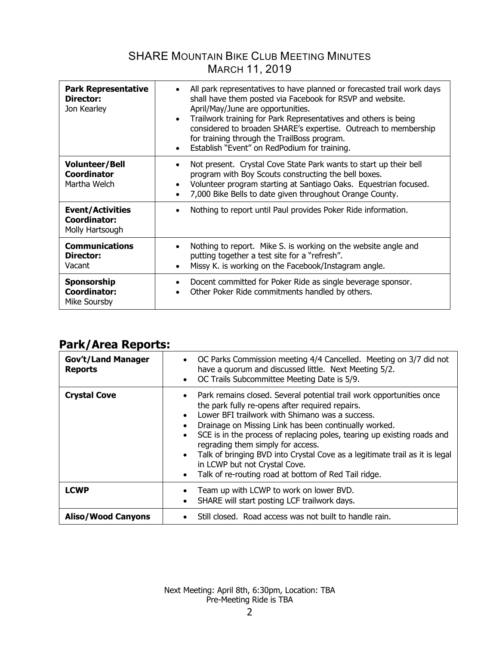| <b>Park Representative</b><br>Director:<br>Jon Kearley            | All park representatives to have planned or forecasted trail work days<br>shall have them posted via Facebook for RSVP and website.<br>April/May/June are opportunities.<br>Trailwork training for Park Representatives and others is being<br>$\bullet$<br>considered to broaden SHARE's expertise. Outreach to membership<br>for training through the TrailBoss program.<br>Establish "Event" on RedPodium for training. |
|-------------------------------------------------------------------|----------------------------------------------------------------------------------------------------------------------------------------------------------------------------------------------------------------------------------------------------------------------------------------------------------------------------------------------------------------------------------------------------------------------------|
| <b>Volunteer/Bell</b><br><b>Coordinator</b><br>Martha Welch       | Not present. Crystal Cove State Park wants to start up their bell<br>program with Boy Scouts constructing the bell boxes.<br>Volunteer program starting at Santiago Oaks. Equestrian focused.<br>7,000 Bike Bells to date given throughout Orange County.                                                                                                                                                                  |
| <b>Event/Activities</b><br><b>Coordinator:</b><br>Molly Hartsough | Nothing to report until Paul provides Poker Ride information.                                                                                                                                                                                                                                                                                                                                                              |
| <b>Communications</b><br>Director:<br>Vacant                      | Nothing to report. Mike S. is working on the website angle and<br>putting together a test site for a "refresh".<br>Missy K. is working on the Facebook/Instagram angle.                                                                                                                                                                                                                                                    |
| <b>Sponsorship</b><br><b>Coordinator:</b><br>Mike Soursby         | Docent committed for Poker Ride as single beverage sponsor.<br>Other Poker Ride commitments handled by others.                                                                                                                                                                                                                                                                                                             |

## **Park/Area Reports:**

| <b>Gov't/Land Manager</b><br><b>Reports</b> | • OC Parks Commission meeting 4/4 Cancelled. Meeting on 3/7 did not<br>have a quorum and discussed little. Next Meeting 5/2.<br>OC Trails Subcommittee Meeting Date is 5/9.<br>$\bullet$                                                                                                                                                                                                                                                                                                                                                     |
|---------------------------------------------|----------------------------------------------------------------------------------------------------------------------------------------------------------------------------------------------------------------------------------------------------------------------------------------------------------------------------------------------------------------------------------------------------------------------------------------------------------------------------------------------------------------------------------------------|
| <b>Crystal Cove</b>                         | • Park remains closed. Several potential trail work opportunities once<br>the park fully re-opens after required repairs.<br>Lower BFI trailwork with Shimano was a success.<br>Drainage on Missing Link has been continually worked.<br>$\bullet$<br>SCE is in the process of replacing poles, tearing up existing roads and<br>regrading them simply for access.<br>• Talk of bringing BVD into Crystal Cove as a legitimate trail as it is legal<br>in LCWP but not Crystal Cove.<br>Talk of re-routing road at bottom of Red Tail ridge. |
| <b>LCWP</b>                                 | Team up with LCWP to work on lower BVD.<br>SHARE will start posting LCF trailwork days.<br>$\bullet$                                                                                                                                                                                                                                                                                                                                                                                                                                         |
| <b>Aliso/Wood Canyons</b>                   | Still closed. Road access was not built to handle rain.                                                                                                                                                                                                                                                                                                                                                                                                                                                                                      |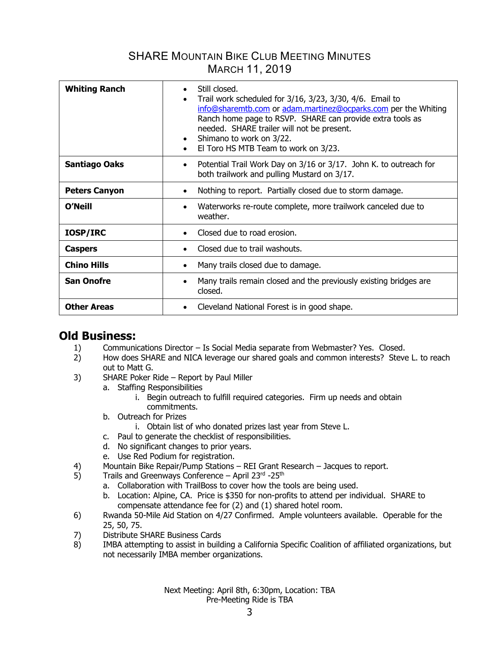| <b>Whiting Ranch</b> | Still closed.<br>Trail work scheduled for 3/16, 3/23, 3/30, 4/6. Email to<br>info@sharemtb.com or adam.martinez@ocparks.com per the Whiting<br>Ranch home page to RSVP. SHARE can provide extra tools as<br>needed. SHARE trailer will not be present.<br>Shimano to work on 3/22.<br>$\bullet$<br>El Toro HS MTB Team to work on 3/23. |  |  |  |
|----------------------|-----------------------------------------------------------------------------------------------------------------------------------------------------------------------------------------------------------------------------------------------------------------------------------------------------------------------------------------|--|--|--|
| <b>Santiago Oaks</b> | Potential Trail Work Day on 3/16 or 3/17. John K. to outreach for<br>$\bullet$<br>both trailwork and pulling Mustard on 3/17.                                                                                                                                                                                                           |  |  |  |
| <b>Peters Canyon</b> | Nothing to report. Partially closed due to storm damage.                                                                                                                                                                                                                                                                                |  |  |  |
| <b>O'Neill</b>       | Waterworks re-route complete, more trailwork canceled due to<br>$\bullet$<br>weather.                                                                                                                                                                                                                                                   |  |  |  |
| IOSP/IRC             | Closed due to road erosion.                                                                                                                                                                                                                                                                                                             |  |  |  |
| <b>Caspers</b>       | Closed due to trail washouts.                                                                                                                                                                                                                                                                                                           |  |  |  |
| <b>Chino Hills</b>   | Many trails closed due to damage.                                                                                                                                                                                                                                                                                                       |  |  |  |
| <b>San Onofre</b>    | Many trails remain closed and the previously existing bridges are<br>٠<br>closed.                                                                                                                                                                                                                                                       |  |  |  |
| <b>Other Areas</b>   | Cleveland National Forest is in good shape.                                                                                                                                                                                                                                                                                             |  |  |  |

### **Old Business:**

- 1) Communications Director Is Social Media separate from Webmaster? Yes. Closed.
- 2) How does SHARE and NICA leverage our shared goals and common interests? Steve L. to reach out to Matt G.
- 3) SHARE Poker Ride Report by Paul Miller
	- a. Staffing Responsibilities
		- i. Begin outreach to fulfill required categories. Firm up needs and obtain commitments.
	- b. Outreach for Prizes
		- i. Obtain list of who donated prizes last year from Steve L.
	- c. Paul to generate the checklist of responsibilities.
	- d. No significant changes to prior years.
	- e. Use Red Podium for registration.
- 4) Mountain Bike Repair/Pump Stations REI Grant Research Jacques to report.
- 5) Trails and Greenways Conference April 23rd -25th
	- a. Collaboration with TrailBoss to cover how the tools are being used.
	- b. Location: Alpine, CA. Price is \$350 for non-profits to attend per individual. SHARE to compensate attendance fee for (2) and (1) shared hotel room.
- 6) Rwanda 50-Mile Aid Station on 4/27 Confirmed. Ample volunteers available. Operable for the 25, 50, 75.
- 7) Distribute SHARE Business Cards
- 8) IMBA attempting to assist in building a California Specific Coalition of affiliated organizations, but not necessarily IMBA member organizations.

Next Meeting: April 8th, 6:30pm, Location: TBA Pre-Meeting Ride is TBA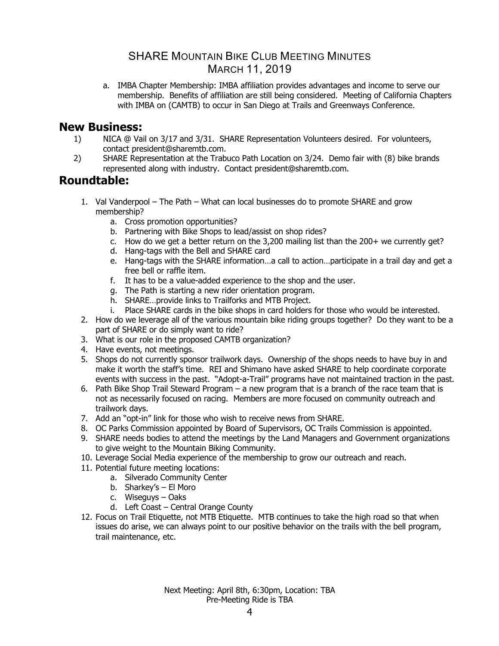a. IMBA Chapter Membership: IMBA affiliation provides advantages and income to serve our membership. Benefits of affiliation are still being considered. Meeting of California Chapters with IMBA on (CAMTB) to occur in San Diego at Trails and Greenways Conference.

### **New Business:**

- 1) NICA @ Vail on 3/17 and 3/31. SHARE Representation Volunteers desired. For volunteers, contact president@sharemtb.com.
- 2) SHARE Representation at the Trabuco Path Location on 3/24. Demo fair with (8) bike brands represented along with industry. Contact president@sharemtb.com.

### **Roundtable:**

- 1. Val Vanderpool The Path What can local businesses do to promote SHARE and grow membership?
	- a. Cross promotion opportunities?
	- b. Partnering with Bike Shops to lead/assist on shop rides?
	- c. How do we get a better return on the 3,200 mailing list than the 200+ we currently get?
	- d. Hang-tags with the Bell and SHARE card
	- e. Hang-tags with the SHARE information…a call to action…participate in a trail day and get a free bell or raffle item.
	- f. It has to be a value-added experience to the shop and the user.
	- g. The Path is starting a new rider orientation program.
	- h. SHARE…provide links to Trailforks and MTB Project.
	- i. Place SHARE cards in the bike shops in card holders for those who would be interested.
- 2. How do we leverage all of the various mountain bike riding groups together? Do they want to be a part of SHARE or do simply want to ride?
- 3. What is our role in the proposed CAMTB organization?
- 4. Have events, not meetings.
- 5. Shops do not currently sponsor trailwork days. Ownership of the shops needs to have buy in and make it worth the staff's time. REI and Shimano have asked SHARE to help coordinate corporate events with success in the past. "Adopt-a-Trail" programs have not maintained traction in the past.
- 6. Path Bike Shop Trail Steward Program a new program that is a branch of the race team that is not as necessarily focused on racing. Members are more focused on community outreach and trailwork days.
- 7. Add an "opt-in" link for those who wish to receive news from SHARE.
- 8. OC Parks Commission appointed by Board of Supervisors, OC Trails Commission is appointed.
- 9. SHARE needs bodies to attend the meetings by the Land Managers and Government organizations to give weight to the Mountain Biking Community.
- 10. Leverage Social Media experience of the membership to grow our outreach and reach.
- 11. Potential future meeting locations:
	- a. Silverado Community Center
	- b. Sharkey's El Moro
	- c. Wiseguys Oaks
	- d. Left Coast Central Orange County
- 12. Focus on Trail Etiquette, not MTB Etiquette. MTB continues to take the high road so that when issues do arise, we can always point to our positive behavior on the trails with the bell program, trail maintenance, etc.

Next Meeting: April 8th, 6:30pm, Location: TBA Pre-Meeting Ride is TBA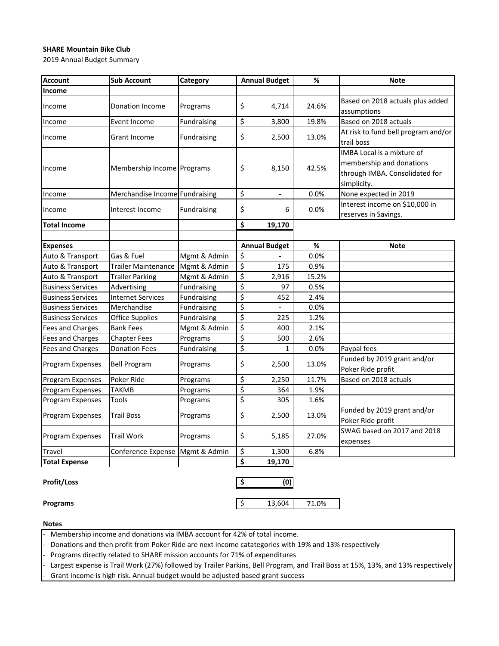### **SHARE Mountain Bike Club**

2019 Annual Budget Summary

| <b>Account</b>           | <b>Sub Account</b>             | Category     |                  | <b>Annual Budget</b>     | $\%$  | <b>Note</b>                                                                                                    |
|--------------------------|--------------------------------|--------------|------------------|--------------------------|-------|----------------------------------------------------------------------------------------------------------------|
| Income                   |                                |              |                  |                          |       |                                                                                                                |
| Income                   | Donation Income                | Programs     | \$               | 4,714                    | 24.6% | Based on 2018 actuals plus added<br>assumptions                                                                |
| Income                   | Event Income                   | Fundraising  | \$               | 3,800                    | 19.8% | Based on 2018 actuals                                                                                          |
| Income                   | Grant Income                   | Fundraising  | \$               | 2,500                    | 13.0% | At risk to fund bell program and/or<br>trail boss                                                              |
| Income                   | Membership Income Programs     |              | \$               | 8,150                    | 42.5% | <b>IMBA Local is a mixture of</b><br>membership and donations<br>through IMBA. Consolidated for<br>simplicity. |
| Income                   | Merchandise Income Fundraising |              | \$               | $\blacksquare$           | 0.0%  | None expected in 2019                                                                                          |
| Income                   | Interest Income                | Fundraising  | \$               | 6                        | 0.0%  | Interest income on \$10,000 in<br>reserves in Savings.                                                         |
| <b>Total Income</b>      |                                |              | \$               | 19,170                   |       |                                                                                                                |
|                          |                                |              |                  |                          |       |                                                                                                                |
| <b>Expenses</b>          |                                |              |                  | <b>Annual Budget</b>     | $\%$  | <b>Note</b>                                                                                                    |
| Auto & Transport         | Gas & Fuel                     | Mgmt & Admin | \$               |                          | 0.0%  |                                                                                                                |
| Auto & Transport         | <b>Trailer Maintenance</b>     | Mgmt & Admin | \$               | 175                      | 0.9%  |                                                                                                                |
| Auto & Transport         | <b>Trailer Parking</b>         | Mgmt & Admin | \$               | 2,916                    | 15.2% |                                                                                                                |
| <b>Business Services</b> | Advertising                    | Fundraising  | \$               | 97                       | 0.5%  |                                                                                                                |
| <b>Business Services</b> | <b>Internet Services</b>       | Fundraising  | \$               | 452                      | 2.4%  |                                                                                                                |
| <b>Business Services</b> | Merchandise                    | Fundraising  | \$               | $\overline{\phantom{a}}$ | 0.0%  |                                                                                                                |
| <b>Business Services</b> | <b>Office Supplies</b>         | Fundraising  | \$               | 225                      | 1.2%  |                                                                                                                |
| Fees and Charges         | <b>Bank Fees</b>               | Mgmt & Admin | \$               | 400                      | 2.1%  |                                                                                                                |
| Fees and Charges         | <b>Chapter Fees</b>            | Programs     | $\overline{\xi}$ | 500                      | 2.6%  |                                                                                                                |
| Fees and Charges         | <b>Donation Fees</b>           | Fundraising  | \$               | 1                        | 0.0%  | Paypal fees                                                                                                    |
| Program Expenses         | <b>Bell Program</b>            | Programs     | \$               | 2,500                    | 13.0% | Funded by 2019 grant and/or<br>Poker Ride profit                                                               |
| Program Expenses         | Poker Ride                     | Programs     | \$               | 2,250                    | 11.7% | Based on 2018 actuals                                                                                          |
| Program Expenses         | <b>TAKMB</b>                   | Programs     | \$               | 364                      | 1.9%  |                                                                                                                |
| Program Expenses         | Tools                          | Programs     | \$               | 305                      | 1.6%  |                                                                                                                |
| Program Expenses         | Trail Boss                     | Programs     | \$               | 2,500                    | 13.0% | Funded by 2019 grant and/or<br>Poker Ride profit                                                               |
| Program Expenses         | <b>Trail Work</b>              | Programs     | \$               | 5,185                    | 27.0% | SWAG based on 2017 and 2018<br>expenses                                                                        |
| <b>Travel</b>            | Conference Expense             | Mgmt & Admin | \$               | 1,300                    | 6.8%  |                                                                                                                |
| <b>Total Expense</b>     |                                |              | \$               | 19,170                   |       |                                                                                                                |
| <b>Profit/Loss</b>       |                                |              | \$               | (0)                      |       |                                                                                                                |

**Programs 13,604** 71.0%

**Notes**

Membership income and donations via IMBA account for 42% of total income.

- Donations and then profit from Poker Ride are next income catategories with 19% and 13% respectively

- Programs directly related to SHARE mission accounts for 71% of expenditures

Largest expense is Trail Work (27%) followed by Trailer Parkins, Bell Program, and Trail Boss at 15%, 13%, and 13% respectively

Grant income is high risk. Annual budget would be adjusted based grant success